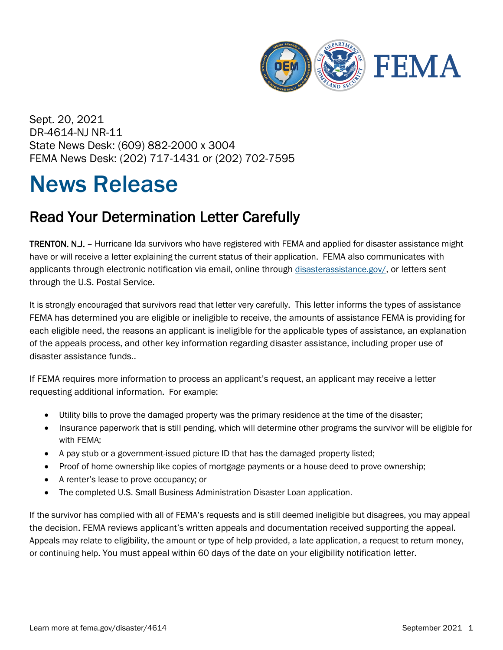

Sept. 20, 2021 DR-4614-NJ NR-11 State News Desk: (609) 882-2000 x 3004 FEMA News Desk: (202) 717-1431 or (202) 702-7595

## News Release

## Read Your Determination Letter Carefully

TRENTON. N.J. – Hurricane Ida survivors who have registered with FEMA and applied for disaster assistance might have or will receive a letter explaining the current status of their application. FEMA also communicates with applicants through electronic notification via email, online through [disasterassistance.gov/,](http://www.disasterassistance.gov/) or letters sent through the U.S. Postal Service.

It is strongly encouraged that survivors read that letter very carefully. This letter informs the types of assistance FEMA has determined you are eligible or ineligible to receive, the amounts of assistance FEMA is providing for each eligible need, the reasons an applicant is ineligible for the applicable types of assistance, an explanation of the appeals process, and other key information regarding disaster assistance, including proper use of disaster assistance funds..

If FEMA requires more information to process an applicant's request, an applicant may receive a letter requesting additional information. For example:

- Utility bills to prove the damaged property was the primary residence at the time of the disaster;
- Insurance paperwork that is still pending, which will determine other programs the survivor will be eligible for with FEMA;
- A pay stub or a government-issued picture ID that has the damaged property listed;
- Proof of home ownership like copies of mortgage payments or a house deed to prove ownership;
- A renter's lease to prove occupancy; or
- The completed U.S. Small Business Administration Disaster Loan application.

If the survivor has complied with all of FEMA's requests and is still deemed ineligible but disagrees, you may appeal the decision. FEMA reviews applicant's written appeals and documentation received supporting the appeal. Appeals may relate to eligibility, the amount or type of help provided, a late application, a request to return money, or continuing help. You must appeal within 60 days of the date on your eligibility notification letter.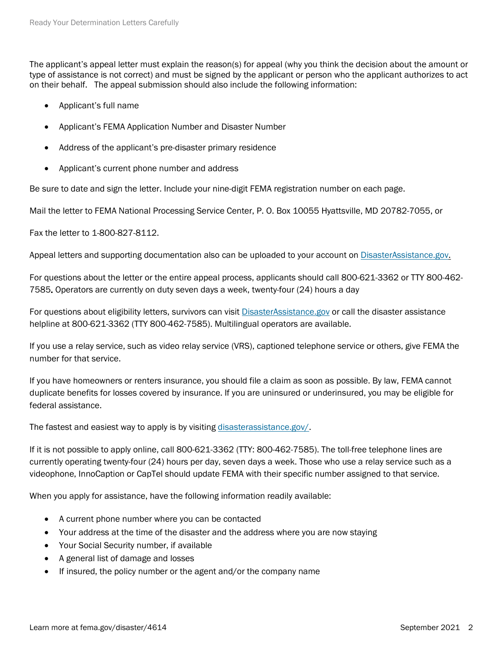The applicant's appeal letter must explain the reason(s) for appeal (why you think the decision about the amount or type of assistance is not correct) and must be signed by the applicant or person who the applicant authorizes to act on their behalf. The appeal submission should also include the following information:

- Applicant's full name
- Applicant's FEMA Application Number and Disaster Number
- Address of the applicant's pre-disaster primary residence
- Applicant's current phone number and address

Be sure to date and sign the letter. Include your nine-digit FEMA registration number on each page.

Mail the letter to FEMA National Processing Service Center, P. O. Box 10055 Hyattsville, MD 20782-7055, or

Fax the letter to 1-800-827-8112.

Appeal letters and supporting documentation also can be uploaded to your account on [DisasterAssistance.gov.](https://www.disasterassistance.gov/)

For questions about the letter or the entire appeal process, applicants should call 800-621-3362 or TTY 800-462- 7585. Operators are currently on duty seven days a week, twenty-four (24) hours a day

For questions about eligibility letters, survivors can visit [DisasterAssistance.gov](https://c/Users/sgembrow/Desktop/DisasterAssistance.gov) or call the disaster assistance helpline at 800-621-3362 (TTY 800-462-7585). Multilingual operators are available.

If you use a relay service, such as video relay service (VRS), captioned telephone service or others, give FEMA the number for that service.

If you have homeowners or renters insurance, you should file a claim as soon as possible. By law, FEMA cannot duplicate benefits for losses covered by insurance. If you are uninsured or underinsured, you may be eligible for federal assistance.

The fastest and easiest way to apply is by visiting [disasterassistance.gov/.](http://www.disasterassistance.gov/)

If it is not possible to apply online, call 800-621-3362 (TTY: 800-462-7585). The toll-free telephone lines are currently operating twenty-four (24) hours per day, seven days a week. Those who use a relay service such as a videophone, InnoCaption or CapTel should update FEMA with their specific number assigned to that service.

When you apply for assistance, have the following information readily available:

- A current phone number where you can be contacted
- Your address at the time of the disaster and the address where you are now staying
- Your Social Security number, if available
- A general list of damage and losses
- If insured, the policy number or the agent and/or the company name